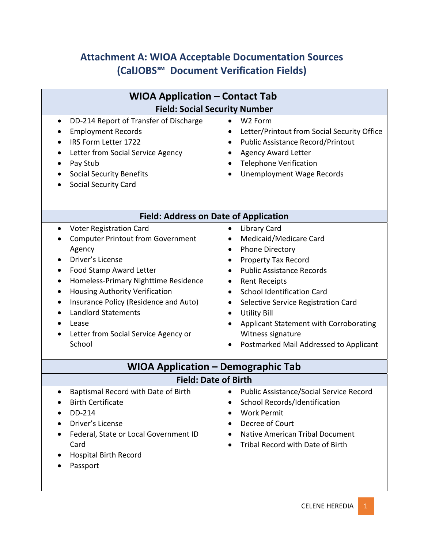# **Attachment A: WIOA Acceptable Documentation Sources (CalJOBS℠ Document Verification Fields)**

| <b>WIOA Application – Contact Tab</b>                                                                                                                                                                                                                                                                                                                                          |                                                                                                                                                                                                                                                                                                                                                                                                         |  |
|--------------------------------------------------------------------------------------------------------------------------------------------------------------------------------------------------------------------------------------------------------------------------------------------------------------------------------------------------------------------------------|---------------------------------------------------------------------------------------------------------------------------------------------------------------------------------------------------------------------------------------------------------------------------------------------------------------------------------------------------------------------------------------------------------|--|
| <b>Field: Social Security Number</b>                                                                                                                                                                                                                                                                                                                                           |                                                                                                                                                                                                                                                                                                                                                                                                         |  |
| DD-214 Report of Transfer of Discharge<br>$\bullet$<br><b>Employment Records</b><br>IRS Form Letter 1722<br>Letter from Social Service Agency<br>Pay Stub<br><b>Social Security Benefits</b><br><b>Social Security Card</b>                                                                                                                                                    | W <sub>2</sub> Form<br>$\bullet$<br>Letter/Printout from Social Security Office<br><b>Public Assistance Record/Printout</b><br><b>Agency Award Letter</b><br><b>Telephone Verification</b><br><b>Unemployment Wage Records</b>                                                                                                                                                                          |  |
| <b>Field: Address on Date of Application</b>                                                                                                                                                                                                                                                                                                                                   |                                                                                                                                                                                                                                                                                                                                                                                                         |  |
| <b>Voter Registration Card</b><br>$\bullet$<br><b>Computer Printout from Government</b><br>Agency<br>Driver's License<br>Food Stamp Award Letter<br>Homeless-Primary Nighttime Residence<br>Housing Authority Verification<br>٠<br>Insurance Policy (Residence and Auto)<br>$\bullet$<br><b>Landlord Statements</b><br>Lease<br>Letter from Social Service Agency or<br>School | <b>Library Card</b><br>$\bullet$<br>Medicaid/Medicare Card<br><b>Phone Directory</b><br><b>Property Tax Record</b><br><b>Public Assistance Records</b><br><b>Rent Receipts</b><br><b>School Identification Card</b><br>$\bullet$<br>Selective Service Registration Card<br><b>Utility Bill</b><br>Applicant Statement with Corroborating<br>Witness signature<br>Postmarked Mail Addressed to Applicant |  |
| <b>WIOA Application - Demographic Tab</b>                                                                                                                                                                                                                                                                                                                                      |                                                                                                                                                                                                                                                                                                                                                                                                         |  |
| <b>Field: Date of Birth</b>                                                                                                                                                                                                                                                                                                                                                    |                                                                                                                                                                                                                                                                                                                                                                                                         |  |
| Baptismal Record with Date of Birth<br><b>Birth Certificate</b><br>$\bullet$<br>DD-214<br>Driver's License<br>Federal, State or Local Government ID<br>Card<br><b>Hospital Birth Record</b><br>Passport                                                                                                                                                                        | <b>Public Assistance/Social Service Record</b><br>School Records/Identification<br><b>Work Permit</b><br>Decree of Court<br><b>Native American Tribal Document</b><br>Tribal Record with Date of Birth                                                                                                                                                                                                  |  |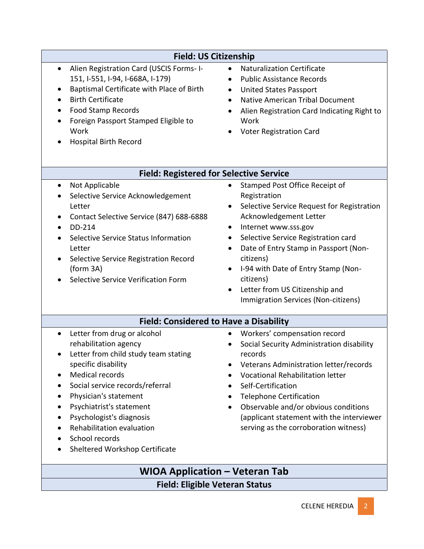| <b>Field: US Citizenship</b>                                                                                                                                                                                                                                                                                                                                    |                                                                                                                                                                                                                                                                                                                                                                                                                                           |  |
|-----------------------------------------------------------------------------------------------------------------------------------------------------------------------------------------------------------------------------------------------------------------------------------------------------------------------------------------------------------------|-------------------------------------------------------------------------------------------------------------------------------------------------------------------------------------------------------------------------------------------------------------------------------------------------------------------------------------------------------------------------------------------------------------------------------------------|--|
| Alien Registration Card (USCIS Forms- I-<br>$\bullet$<br>151, I-551, I-94, I-668A, I-179)<br>Baptismal Certificate with Place of Birth<br>$\bullet$<br><b>Birth Certificate</b><br><b>Food Stamp Records</b><br>$\bullet$<br>Foreign Passport Stamped Eligible to<br>Work<br><b>Hospital Birth Record</b>                                                       | <b>Naturalization Certificate</b><br><b>Public Assistance Records</b><br><b>United States Passport</b><br>$\bullet$<br><b>Native American Tribal Document</b><br>Alien Registration Card Indicating Right to<br>Work<br>Voter Registration Card                                                                                                                                                                                           |  |
| <b>Field: Registered for Selective Service</b>                                                                                                                                                                                                                                                                                                                  |                                                                                                                                                                                                                                                                                                                                                                                                                                           |  |
| Not Applicable<br>$\bullet$<br>Selective Service Acknowledgement<br>Letter<br>Contact Selective Service (847) 688-6888<br>DD-214<br>$\bullet$<br>Selective Service Status Information<br>Letter<br>Selective Service Registration Record<br>(form 3A)<br>Selective Service Verification Form                                                                    | Stamped Post Office Receipt of<br>$\bullet$<br>Registration<br>Selective Service Request for Registration<br>$\bullet$<br>Acknowledgement Letter<br>Internet www.sss.gov<br>Selective Service Registration card<br>Date of Entry Stamp in Passport (Non-<br>$\bullet$<br>citizens)<br>I-94 with Date of Entry Stamp (Non-<br>$\bullet$<br>citizens)<br>Letter from US Citizenship and<br>$\bullet$<br>Immigration Services (Non-citizens) |  |
| <b>Field: Considered to Have a Disability</b>                                                                                                                                                                                                                                                                                                                   |                                                                                                                                                                                                                                                                                                                                                                                                                                           |  |
| Letter from drug or alcohol<br>$\bullet$<br>rehabilitation agency<br>Letter from child study team stating<br>specific disability<br><b>Medical records</b><br>Social service records/referral<br>Physician's statement<br>Psychiatrist's statement<br>Psychologist's diagnosis<br>Rehabilitation evaluation<br>School records<br>Sheltered Workshop Certificate | Workers' compensation record<br>Social Security Administration disability<br>records<br>Veterans Administration letter/records<br><b>Vocational Rehabilitation letter</b><br>Self-Certification<br><b>Telephone Certification</b><br>Observable and/or obvious conditions<br>(applicant statement with the interviewer<br>serving as the corroboration witness)                                                                           |  |
| <b>WIOA Application – Veteran Tab</b>                                                                                                                                                                                                                                                                                                                           |                                                                                                                                                                                                                                                                                                                                                                                                                                           |  |
| <b>Field: Eligible Veteran Status</b>                                                                                                                                                                                                                                                                                                                           |                                                                                                                                                                                                                                                                                                                                                                                                                                           |  |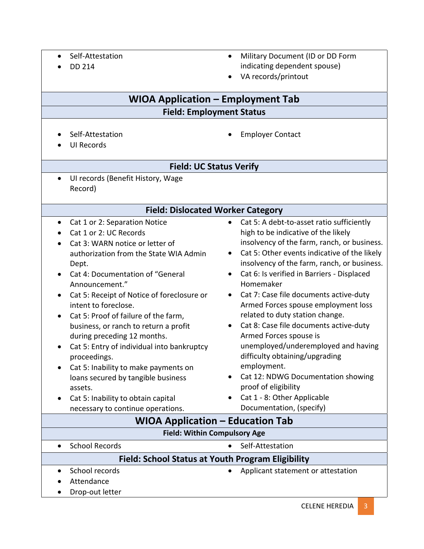- Self-Attestation
- $\bullet$  DD 214
- Military Document (ID or DD Form indicating dependent spouse)
- VA records/printout

# **WIOA Application – Employment Tab**

# **Field: Employment Status**

• Self-Attestation

• Employer Contact

UI Records

#### **Field: UC Status Verify**

• UI records (Benefit History, Wage Record)

#### **Field: Dislocated Worker Category**

- Cat 1 or 2: Separation Notice
- Cat 1 or 2: UC Records
- Cat 3: WARN notice or letter of authorization from the State WIA Admin Dept.
- Cat 4: Documentation of "General Announcement."
- Cat 5: Receipt of Notice of foreclosure or intent to foreclose.
- Cat 5: Proof of failure of the farm, business, or ranch to return a profit during preceding 12 months.
- Cat 5: Entry of individual into bankruptcy proceedings.
- Cat 5: Inability to make payments on loans secured by tangible business assets.
- Cat 5: Inability to obtain capital necessary to continue operations.
- Cat 5: A debt-to-asset ratio sufficiently high to be indicative of the likely insolvency of the farm, ranch, or business.
- Cat 5: Other events indicative of the likely insolvency of the farm, ranch, or business.
- Cat 6: Is verified in Barriers Displaced Homemaker
- Cat 7: Case file documents active-duty Armed Forces spouse employment loss related to duty station change.
- Cat 8: Case file documents active-duty Armed Forces spouse is unemployed/underemployed and having difficulty obtaining/upgrading employment.
- Cat 12: NDWG Documentation showing proof of eligibility
- Cat 1 8: Other Applicable Documentation, (specify)

| <b>WIOA Application - Education Tab</b>           |                                    |  |
|---------------------------------------------------|------------------------------------|--|
| <b>Field: Within Compulsory Age</b>               |                                    |  |
| <b>School Records</b>                             | • Self-Attestation                 |  |
| Field: School Status at Youth Program Eligibility |                                    |  |
| School records                                    | Applicant statement or attestation |  |
| Attendance                                        |                                    |  |
| Drop-out letter                                   |                                    |  |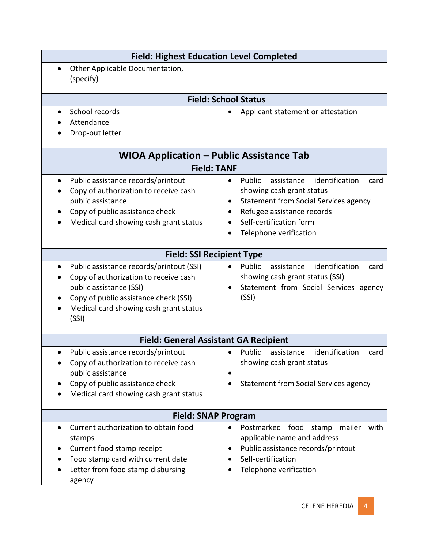| <b>Field: Highest Education Level Completed</b>                                                                                                                                                          |                                                                                                                                                                                                                     |  |
|----------------------------------------------------------------------------------------------------------------------------------------------------------------------------------------------------------|---------------------------------------------------------------------------------------------------------------------------------------------------------------------------------------------------------------------|--|
| Other Applicable Documentation,<br>(specify)                                                                                                                                                             |                                                                                                                                                                                                                     |  |
|                                                                                                                                                                                                          | <b>Field: School Status</b>                                                                                                                                                                                         |  |
| School records<br>Attendance<br>Drop-out letter                                                                                                                                                          | Applicant statement or attestation                                                                                                                                                                                  |  |
| <b>WIOA Application - Public Assistance Tab</b>                                                                                                                                                          |                                                                                                                                                                                                                     |  |
| <b>Field: TANF</b>                                                                                                                                                                                       |                                                                                                                                                                                                                     |  |
| Public assistance records/printout<br>Copy of authorization to receive cash<br>public assistance<br>Copy of public assistance check<br>Medical card showing cash grant status                            | identification<br>Public<br>assistance<br>card<br>showing cash grant status<br><b>Statement from Social Services agency</b><br>Refugee assistance records<br>٠<br>Self-certification form<br>Telephone verification |  |
| <b>Field: SSI Recipient Type</b>                                                                                                                                                                         |                                                                                                                                                                                                                     |  |
| Public assistance records/printout (SSI)<br>Copy of authorization to receive cash<br>public assistance (SSI)<br>Copy of public assistance check (SSI)<br>Medical card showing cash grant status<br>(SSI) | identification<br>Public<br>assistance<br>card<br>showing cash grant status (SSI)<br>Statement from Social Services agency<br>(SSI)                                                                                 |  |
| <b>Field: General Assistant GA Recipient</b>                                                                                                                                                             |                                                                                                                                                                                                                     |  |
| Public assistance records/printout<br>Copy of authorization to receive cash<br>public assistance<br>Copy of public assistance check<br>Medical card showing cash grant status                            | identification<br>Public<br>assistance<br>card<br>showing cash grant status<br><b>Statement from Social Services agency</b>                                                                                         |  |
| <b>Field: SNAP Program</b>                                                                                                                                                                               |                                                                                                                                                                                                                     |  |
| Current authorization to obtain food<br>$\bullet$<br>stamps<br>Current food stamp receipt<br>Food stamp card with current date<br>Letter from food stamp disbursing<br>agency                            | Postmarked<br>food<br>mailer<br>stamp<br>with<br>applicable name and address<br>Public assistance records/printout<br>Self-certification<br>Telephone verification                                                  |  |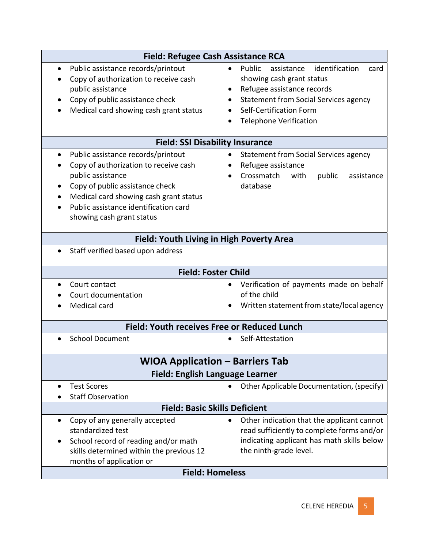| Field: Refugee Cash Assistance RCA                                                                                                                                                                                                                               |                                                                                                                                                                                                                                    |  |
|------------------------------------------------------------------------------------------------------------------------------------------------------------------------------------------------------------------------------------------------------------------|------------------------------------------------------------------------------------------------------------------------------------------------------------------------------------------------------------------------------------|--|
| Public assistance records/printout<br>$\bullet$<br>Copy of authorization to receive cash<br>public assistance<br>Copy of public assistance check<br>Medical card showing cash grant status                                                                       | identification<br>Public<br>assistance<br>card<br>$\bullet$<br>showing cash grant status<br>Refugee assistance records<br><b>Statement from Social Services agency</b><br>Self-Certification Form<br><b>Telephone Verification</b> |  |
| <b>Field: SSI Disability Insurance</b>                                                                                                                                                                                                                           |                                                                                                                                                                                                                                    |  |
| Public assistance records/printout<br>$\bullet$<br>Copy of authorization to receive cash<br>public assistance<br>Copy of public assistance check<br>Medical card showing cash grant status<br>Public assistance identification card<br>showing cash grant status | <b>Statement from Social Services agency</b><br>Refugee assistance<br>Crossmatch<br>public<br>with<br>assistance<br>database                                                                                                       |  |
| Field: Youth Living in High Poverty Area                                                                                                                                                                                                                         |                                                                                                                                                                                                                                    |  |
| Staff verified based upon address                                                                                                                                                                                                                                |                                                                                                                                                                                                                                    |  |
| <b>Field: Foster Child</b>                                                                                                                                                                                                                                       |                                                                                                                                                                                                                                    |  |
| Court contact<br>Court documentation<br>Medical card                                                                                                                                                                                                             | Verification of payments made on behalf<br>of the child<br>Written statement from state/local agency                                                                                                                               |  |
| Field: Youth receives Free or Reduced Lunch                                                                                                                                                                                                                      |                                                                                                                                                                                                                                    |  |
| <b>School Document</b>                                                                                                                                                                                                                                           | Self-Attestation                                                                                                                                                                                                                   |  |
| <b>WIOA Application - Barriers Tab</b>                                                                                                                                                                                                                           |                                                                                                                                                                                                                                    |  |
| <b>Field: English Language Learner</b>                                                                                                                                                                                                                           |                                                                                                                                                                                                                                    |  |
| <b>Test Scores</b><br>$\bullet$<br><b>Staff Observation</b>                                                                                                                                                                                                      | Other Applicable Documentation, (specify)                                                                                                                                                                                          |  |
| <b>Field: Basic Skills Deficient</b>                                                                                                                                                                                                                             |                                                                                                                                                                                                                                    |  |
| Copy of any generally accepted<br>٠<br>standardized test<br>School record of reading and/or math<br>skills determined within the previous 12<br>months of application or                                                                                         | Other indication that the applicant cannot<br>read sufficiently to complete forms and/or<br>indicating applicant has math skills below<br>the ninth-grade level.                                                                   |  |
| <b>Field: Homeless</b>                                                                                                                                                                                                                                           |                                                                                                                                                                                                                                    |  |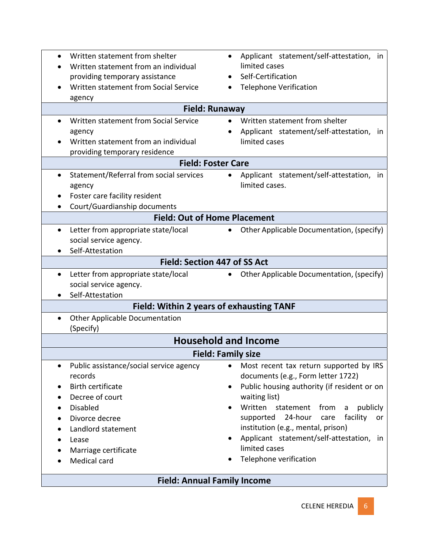|                                                    | Applicant statement/self-attestation, in               |  |
|----------------------------------------------------|--------------------------------------------------------|--|
| Written statement from an individual               | limited cases                                          |  |
| providing temporary assistance                     | Self-Certification                                     |  |
| Written statement from Social Service              | <b>Telephone Verification</b>                          |  |
| agency                                             |                                                        |  |
| <b>Field: Runaway</b>                              |                                                        |  |
| Written statement from Social Service              | Written statement from shelter                         |  |
| agency                                             | Applicant statement/self-attestation, in               |  |
| Written statement from an individual               | limited cases                                          |  |
| providing temporary residence                      |                                                        |  |
| <b>Field: Foster Care</b>                          |                                                        |  |
| Statement/Referral from social services            | Applicant statement/self-attestation, in               |  |
| agency                                             | limited cases.                                         |  |
| Foster care facility resident                      |                                                        |  |
| Court/Guardianship documents                       |                                                        |  |
| <b>Field: Out of Home Placement</b>                |                                                        |  |
| Letter from appropriate state/local<br>$\bullet$   | Other Applicable Documentation, (specify)<br>$\bullet$ |  |
| social service agency.                             |                                                        |  |
| Self-Attestation                                   |                                                        |  |
| <b>Field: Section 447 of SS Act</b>                |                                                        |  |
| Letter from appropriate state/local<br>٠           | • Other Applicable Documentation, (specify)            |  |
| social service agency.                             |                                                        |  |
| Self-Attestation                                   |                                                        |  |
| Field: Within 2 years of exhausting TANF           |                                                        |  |
| <b>Other Applicable Documentation</b><br>$\bullet$ |                                                        |  |
| (Specify)                                          |                                                        |  |
| <b>Household and Income</b>                        |                                                        |  |
| <b>Field: Family size</b>                          |                                                        |  |
| Public assistance/social service agency            | Most recent tax return supported by IRS                |  |
| records                                            | documents (e.g., Form letter 1722)                     |  |
| <b>Birth certificate</b>                           | Public housing authority (if resident or on            |  |
| Decree of court                                    | waiting list)                                          |  |
| <b>Disabled</b>                                    | Written<br>statement<br>from<br>publicly<br>a          |  |
| Divorce decree                                     | 24-hour<br>facility<br>care<br>supported<br>or         |  |
| Landlord statement                                 | institution (e.g., mental, prison)                     |  |
| Lease                                              | Applicant statement/self-attestation, in               |  |
| Marriage certificate                               | limited cases                                          |  |
| Medical card                                       | Telephone verification                                 |  |
| <b>Field: Annual Family Income</b>                 |                                                        |  |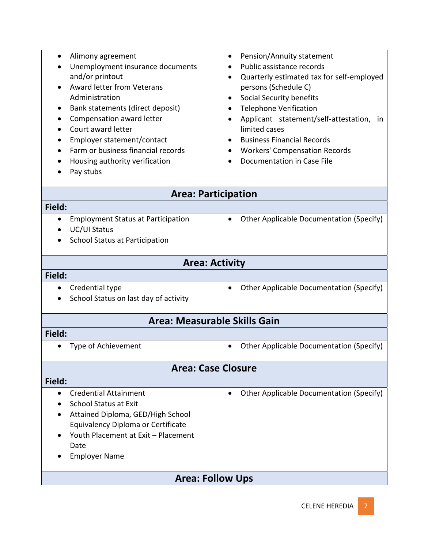- Alimony agreement
- Unemployment insurance documents and/or printout
- Award letter from Veterans Administration
- Bank statements (direct deposit)
- Compensation award letter
- Court award letter
- Employer statement/contact
- Farm or business financial records
- Housing authority verification
- Pay stubs
- Pension/Annuity statement
- Public assistance records
- Quarterly estimated tax for self-employed persons (Schedule C)
- Social Security benefits
- Telephone Verification
- Applicant statement/self-attestation, in limited cases
- Business Financial Records
- Workers' Compensation Records
- Documentation in Case File

# **Area: Participation**

#### **Field:**

- Employment Status at Participation
- UC/UI Status
- School Status at Participation

### **Area: Activity**

#### **Field:**

- Credential type
- School Status on last day of activity
- Other Applicable Documentation (Specify)

• Other Applicable Documentation (Specify)

# **Area: Measurable Skills Gain**

#### **Field:**

- 
- Type of Achievement Cher Applicable Documentation (Specify)

# **Area: Case Closure**

#### **Field:**

- Credential Attainment
- School Status at Exit
- Attained Diploma, GED/High School Equivalency Diploma or Certificate
- Youth Placement at Exit Placement Date
- Employer Name
- **Area: Follow Ups**

• Other Applicable Documentation (Specify)